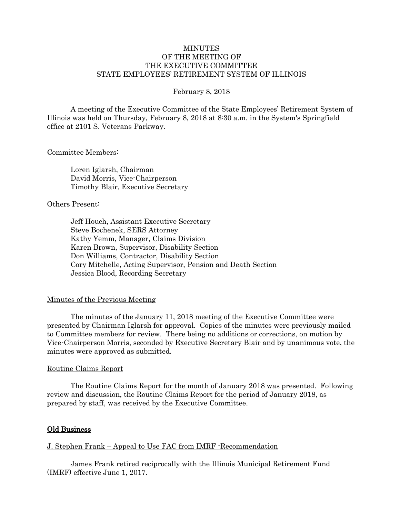## **MINUTES** OF THE MEETING OF THE EXECUTIVE COMMITTEE STATE EMPLOYEES' RETIREMENT SYSTEM OF ILLINOIS

#### February 8, 2018

A meeting of the Executive Committee of the State Employees' Retirement System of Illinois was held on Thursday, February 8, 2018 at 8:30 a.m. in the System's Springfield office at 2101 S. Veterans Parkway.

### Committee Members:

Loren Iglarsh, Chairman David Morris, Vice-Chairperson Timothy Blair, Executive Secretary

## Others Present:

Jeff Houch, Assistant Executive Secretary Steve Bochenek, SERS Attorney Kathy Yemm, Manager, Claims Division Karen Brown, Supervisor, Disability Section Don Williams, Contractor, Disability Section Cory Mitchelle, Acting Supervisor, Pension and Death Section Jessica Blood, Recording Secretary

## Minutes of the Previous Meeting

The minutes of the January 11, 2018 meeting of the Executive Committee were presented by Chairman Iglarsh for approval. Copies of the minutes were previously mailed to Committee members for review. There being no additions or corrections, on motion by Vice-Chairperson Morris, seconded by Executive Secretary Blair and by unanimous vote, the minutes were approved as submitted.

#### Routine Claims Report

The Routine Claims Report for the month of January 2018 was presented. Following review and discussion, the Routine Claims Report for the period of January 2018, as prepared by staff, was received by the Executive Committee.

## Old Business

## J. Stephen Frank – Appeal to Use FAC from IMRF -Recommendation

James Frank retired reciprocally with the Illinois Municipal Retirement Fund (IMRF) effective June 1, 2017.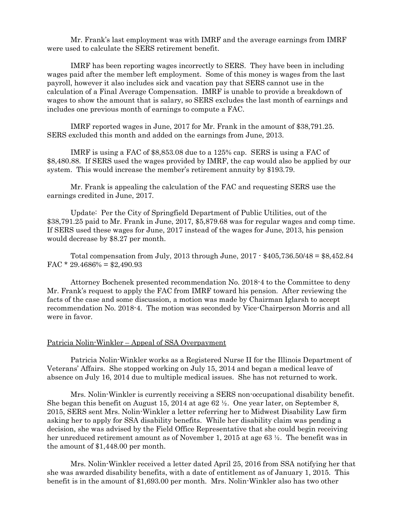Mr. Frank's last employment was with IMRF and the average earnings from IMRF were used to calculate the SERS retirement benefit.

IMRF has been reporting wages incorrectly to SERS. They have been in including wages paid after the member left employment. Some of this money is wages from the last payroll, however it also includes sick and vacation pay that SERS cannot use in the calculation of a Final Average Compensation. IMRF is unable to provide a breakdown of wages to show the amount that is salary, so SERS excludes the last month of earnings and includes one previous month of earnings to compute a FAC.

IMRF reported wages in June, 2017 for Mr. Frank in the amount of \$38,791.25. SERS excluded this month and added on the earnings from June, 2013.

IMRF is using a FAC of \$8,853.08 due to a 125% cap. SERS is using a FAC of \$8,480.88. If SERS used the wages provided by IMRF, the cap would also be applied by our system. This would increase the member's retirement annuity by \$193.79.

Mr. Frank is appealing the calculation of the FAC and requesting SERS use the earnings credited in June, 2017.

Update: Per the City of Springfield Department of Public Utilities, out of the \$38,791.25 paid to Mr. Frank in June, 2017, \$5,879.68 was for regular wages and comp time. If SERS used these wages for June, 2017 instead of the wages for June, 2013, his pension would decrease by \$8.27 per month.

Total compensation from July, 2013 through June, 2017 - \$405,736.50/48 = \$8,452.84 FAC  $*$  29.4686% = \$2,490.93

Attorney Bochenek presented recommendation No. 2018-4 to the Committee to deny Mr. Frank's request to apply the FAC from IMRF toward his pension. After reviewing the facts of the case and some discussion, a motion was made by Chairman Iglarsh to accept recommendation No. 2018-4. The motion was seconded by Vice-Chairperson Morris and all were in favor.

### Patricia Nolin-Winkler – Appeal of SSA Overpayment

Patricia Nolin-Winkler works as a Registered Nurse II for the Illinois Department of Veterans' Affairs. She stopped working on July 15, 2014 and began a medical leave of absence on July 16, 2014 due to multiple medical issues. She has not returned to work.

Mrs. Nolin-Winkler is currently receiving a SERS non-occupational disability benefit. She began this benefit on August 15, 2014 at age  $62\frac{1}{2}$ . One year later, on September 8, 2015, SERS sent Mrs. Nolin-Winkler a letter referring her to Midwest Disability Law firm asking her to apply for SSA disability benefits. While her disability claim was pending a decision, she was advised by the Field Office Representative that she could begin receiving her unreduced retirement amount as of November 1, 2015 at age 63 ½. The benefit was in the amount of \$1,448.00 per month.

Mrs. Nolin-Winkler received a letter dated April 25, 2016 from SSA notifying her that she was awarded disability benefits, with a date of entitlement as of January 1, 2015. This benefit is in the amount of \$1,693.00 per month. Mrs. Nolin-Winkler also has two other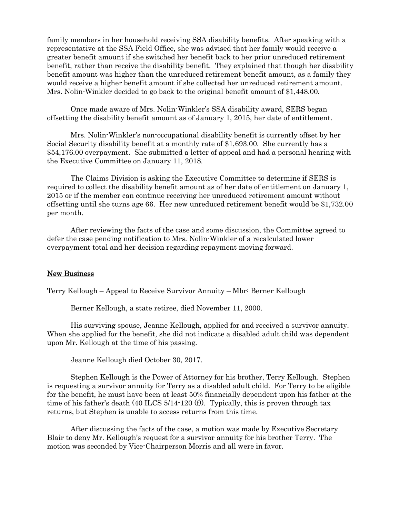family members in her household receiving SSA disability benefits. After speaking with a representative at the SSA Field Office, she was advised that her family would receive a greater benefit amount if she switched her benefit back to her prior unreduced retirement benefit, rather than receive the disability benefit. They explained that though her disability benefit amount was higher than the unreduced retirement benefit amount, as a family they would receive a higher benefit amount if she collected her unreduced retirement amount. Mrs. Nolin-Winkler decided to go back to the original benefit amount of \$1,448.00.

Once made aware of Mrs. Nolin-Winkler's SSA disability award, SERS began offsetting the disability benefit amount as of January 1, 2015, her date of entitlement.

Mrs. Nolin-Winkler's non-occupational disability benefit is currently offset by her Social Security disability benefit at a monthly rate of \$1,693.00. She currently has a \$54,176.00 overpayment. She submitted a letter of appeal and had a personal hearing with the Executive Committee on January 11, 2018.

The Claims Division is asking the Executive Committee to determine if SERS is required to collect the disability benefit amount as of her date of entitlement on January 1, 2015 or if the member can continue receiving her unreduced retirement amount without offsetting until she turns age 66. Her new unreduced retirement benefit would be \$1,732.00 per month.

After reviewing the facts of the case and some discussion, the Committee agreed to defer the case pending notification to Mrs. Nolin-Winkler of a recalculated lower overpayment total and her decision regarding repayment moving forward.

# New Business

Terry Kellough – Appeal to Receive Survivor Annuity – Mbr: Berner Kellough

Berner Kellough, a state retiree, died November 11, 2000.

His surviving spouse, Jeanne Kellough, applied for and received a survivor annuity. When she applied for the benefit, she did not indicate a disabled adult child was dependent upon Mr. Kellough at the time of his passing.

Jeanne Kellough died October 30, 2017.

Stephen Kellough is the Power of Attorney for his brother, Terry Kellough. Stephen is requesting a survivor annuity for Terry as a disabled adult child. For Terry to be eligible for the benefit, he must have been at least 50% financially dependent upon his father at the time of his father's death (40 ILCS  $5/14$ -120 (f)). Typically, this is proven through tax returns, but Stephen is unable to access returns from this time.

After discussing the facts of the case, a motion was made by Executive Secretary Blair to deny Mr. Kellough's request for a survivor annuity for his brother Terry. The motion was seconded by Vice-Chairperson Morris and all were in favor.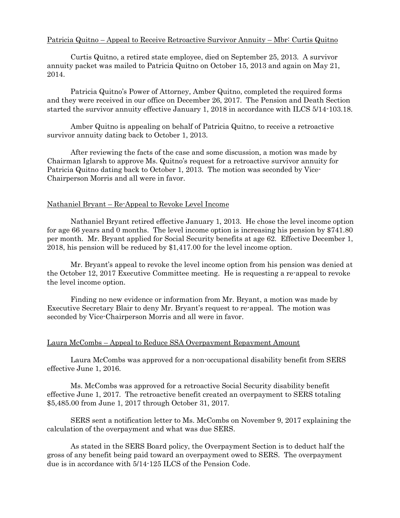# Patricia Quitno – Appeal to Receive Retroactive Survivor Annuity – Mbr: Curtis Quitno

Curtis Quitno, a retired state employee, died on September 25, 2013. A survivor annuity packet was mailed to Patricia Quitno on October 15, 2013 and again on May 21, 2014.

Patricia Quitno's Power of Attorney, Amber Quitno, completed the required forms and they were received in our office on December 26, 2017. The Pension and Death Section started the survivor annuity effective January 1, 2018 in accordance with ILCS 5/14-103.18.

Amber Quitno is appealing on behalf of Patricia Quitno, to receive a retroactive survivor annuity dating back to October 1, 2013.

After reviewing the facts of the case and some discussion, a motion was made by Chairman Iglarsh to approve Ms. Quitno's request for a retroactive survivor annuity for Patricia Quitno dating back to October 1, 2013. The motion was seconded by Vice-Chairperson Morris and all were in favor.

## Nathaniel Bryant – Re-Appeal to Revoke Level Income

Nathaniel Bryant retired effective January 1, 2013. He chose the level income option for age 66 years and 0 months. The level income option is increasing his pension by \$741.80 per month. Mr. Bryant applied for Social Security benefits at age 62. Effective December 1, 2018, his pension will be reduced by \$1,417.00 for the level income option.

Mr. Bryant's appeal to revoke the level income option from his pension was denied at the October 12, 2017 Executive Committee meeting. He is requesting a re-appeal to revoke the level income option.

Finding no new evidence or information from Mr. Bryant, a motion was made by Executive Secretary Blair to deny Mr. Bryant's request to re-appeal. The motion was seconded by Vice-Chairperson Morris and all were in favor.

#### Laura McCombs – Appeal to Reduce SSA Overpayment Repayment Amount

Laura McCombs was approved for a non-occupational disability benefit from SERS effective June 1, 2016.

Ms. McCombs was approved for a retroactive Social Security disability benefit effective June 1, 2017. The retroactive benefit created an overpayment to SERS totaling \$5,485.00 from June 1, 2017 through October 31, 2017.

SERS sent a notification letter to Ms. McCombs on November 9, 2017 explaining the calculation of the overpayment and what was due SERS.

As stated in the SERS Board policy, the Overpayment Section is to deduct half the gross of any benefit being paid toward an overpayment owed to SERS. The overpayment due is in accordance with 5/14-125 ILCS of the Pension Code.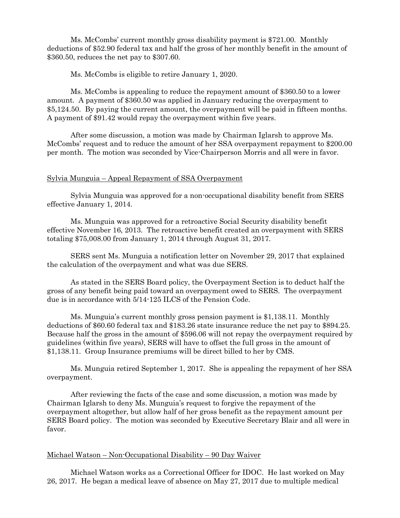Ms. McCombs' current monthly gross disability payment is \$721.00. Monthly deductions of \$52.90 federal tax and half the gross of her monthly benefit in the amount of \$360.50, reduces the net pay to \$307.60.

Ms. McCombs is eligible to retire January 1, 2020.

Ms. McCombs is appealing to reduce the repayment amount of \$360.50 to a lower amount. A payment of \$360.50 was applied in January reducing the overpayment to \$5,124.50. By paying the current amount, the overpayment will be paid in fifteen months. A payment of \$91.42 would repay the overpayment within five years.

After some discussion, a motion was made by Chairman Iglarsh to approve Ms. McCombs' request and to reduce the amount of her SSA overpayment repayment to \$200.00 per month. The motion was seconded by Vice-Chairperson Morris and all were in favor.

### Sylvia Munguia – Appeal Repayment of SSA Overpayment

Sylvia Munguia was approved for a non-occupational disability benefit from SERS effective January 1, 2014.

Ms. Munguia was approved for a retroactive Social Security disability benefit effective November 16, 2013. The retroactive benefit created an overpayment with SERS totaling \$75,008.00 from January 1, 2014 through August 31, 2017.

SERS sent Ms. Munguia a notification letter on November 29, 2017 that explained the calculation of the overpayment and what was due SERS.

As stated in the SERS Board policy, the Overpayment Section is to deduct half the gross of any benefit being paid toward an overpayment owed to SERS. The overpayment due is in accordance with 5/14-125 ILCS of the Pension Code.

Ms. Munguia's current monthly gross pension payment is \$1,138.11. Monthly deductions of \$60.60 federal tax and \$183.26 state insurance reduce the net pay to \$894.25. Because half the gross in the amount of \$596.06 will not repay the overpayment required by guidelines (within five years), SERS will have to offset the full gross in the amount of \$1,138.11. Group Insurance premiums will be direct billed to her by CMS.

Ms. Munguia retired September 1, 2017. She is appealing the repayment of her SSA overpayment.

After reviewing the facts of the case and some discussion, a motion was made by Chairman Iglarsh to deny Ms. Munguia's request to forgive the repayment of the overpayment altogether, but allow half of her gross benefit as the repayment amount per SERS Board policy. The motion was seconded by Executive Secretary Blair and all were in favor.

## Michael Watson – Non-Occupational Disability – 90 Day Waiver

Michael Watson works as a Correctional Officer for IDOC. He last worked on May 26, 2017. He began a medical leave of absence on May 27, 2017 due to multiple medical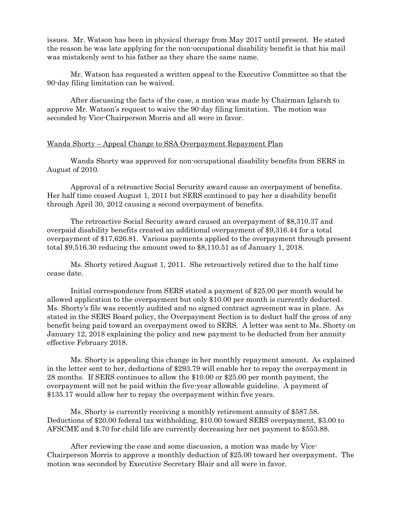issues. Mr. Watson has been in physical therapy from May 2017 until present. He stated the reason he was late applying for the non-occupational disability benefit is that his mail was mistakenly sent to his father as they share the same name.

Mr. Watson has requested a written appeal to the Executive Committee so that the 90-day filing limitation can be waived.

After discussing the facts of the case, a motion was made by Chairman Iglarsh to approve Mr. Watson's request to waive the 90-day filing limitation. The motion was seconded by Vice-Chairperson Morris and all were in favor.

### Wanda Shorty – Appeal Change to SSA Overpayment Repayment Plan

Wanda Shorty was approved for non-occupational disability benefits from SERS in August of 2010.

Approval of a retroactive Social Security award cause an overpayment of benefits. Her half time ceased August 1, 2011 but SERS continued to pay her a disability benefit through April 30, 2012 causing a second overpayment of benefits.

The retroactive Social Security award caused an overpayment of \$8,310.37 and overpaid disability benefits created an additional overpayment of \$9,316.44 for a total overpayment of \$17,626.81. Various payments applied to the overpayment through present total \$9,516.30 reducing the amount owed to \$8,110.51 as of January 1, 2018.

Ms. Shorty retired August 1, 2011. She retroactively retired due to the half time cease date.

Initial correspondence from SERS stated a payment of \$25.00 per month would be allowed application to the overpayment but only \$10.00 per month is currently deducted. Ms. Shorty's file was recently audited and no signed contract agreement was in place. As stated in the SERS Board policy, the Overpayment Section is to deduct half the gross of any benefit being paid toward an overpayment owed to SERS. A letter was sent to Ms. Shorty on January 12, 2018 explaining the policy and new payment to be deducted from her annuity effective February 2018.

Ms. Shorty is appealing this change in her monthly repayment amount. As explained in the letter sent to her, deductions of \$293.79 will enable her to repay the overpayment in 28 months. If SERS continues to allow the \$10.00 or \$25.00 per month payment, the overpayment will not be paid within the five-year allowable guideline. A payment of \$135.17 would allow her to repay the overpayment within five years.

Ms. Shorty is currently receiving a monthly retirement annuity of \$587.58. Deductions of \$20.00 federal tax withholding, \$10.00 toward SERS overpayment, \$3.00 to AFSCME and \$.70 for child life are currently decreasing her net payment to \$553.88.

After reviewing the case and some discussion, a motion was made by Vice-Chairperson Morris to approve a monthly deduction of \$25.00 toward her overpayment. The motion was seconded by Executive Secretary Blair and all were in favor.